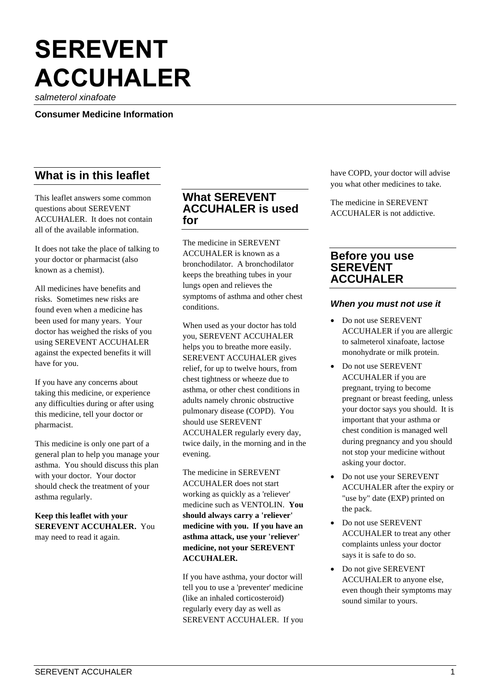# **SEREVENT ACCUHALER**

*salmeterol xinafoate*

**Consumer Medicine Information**

# **What is in this leaflet**

This leaflet answers some common questions about SEREVENT ACCUHALER. It does not contain all of the available information.

It does not take the place of talking to your doctor or pharmacist (also known as a chemist).

All medicines have benefits and risks. Sometimes new risks are found even when a medicine has been used for many years. Your doctor has weighed the risks of you using SEREVENT ACCUHALER against the expected benefits it will have for you.

If you have any concerns about taking this medicine, or experience any difficulties during or after using this medicine, tell your doctor or pharmacist.

This medicine is only one part of a general plan to help you manage your asthma. You should discuss this plan with your doctor. Your doctor should check the treatment of your asthma regularly.

**Keep this leaflet with your SEREVENT ACCUHALER.** You may need to read it again.

# **What SEREVENT ACCUHALER is used for**

The medicine in SEREVENT ACCUHALER is known as a bronchodilator. A bronchodilator keeps the breathing tubes in your lungs open and relieves the symptoms of asthma and other chest conditions.

When used as your doctor has told you, SEREVENT ACCUHALER helps you to breathe more easily. SEREVENT ACCUHALER gives relief, for up to twelve hours, from chest tightness or wheeze due to asthma, or other chest conditions in adults namely chronic obstructive pulmonary disease (COPD). You should use SEREVENT ACCUHALER regularly every day, twice daily, in the morning and in the evening.

The medicine in SEREVENT ACCUHALER does not start working as quickly as a 'reliever' medicine such as VENTOLIN. **You should always carry a 'reliever' medicine with you. If you have an asthma attack, use your 'reliever' medicine, not your SEREVENT ACCUHALER.**

If you have asthma, your doctor will tell you to use a 'preventer' medicine (like an inhaled corticosteroid) regularly every day as well as SEREVENT ACCUHALER. If you have COPD, your doctor will advise you what other medicines to take.

The medicine in SEREVENT ACCUHALER is not addictive.

# **Before you use SEREVENT ACCUHALER**

#### *When you must not use it*

- Do not use SEREVENT ACCUHALER if you are allergic to salmeterol xinafoate, lactose monohydrate or milk protein.
- Do not use SEREVENT ACCUHALER if you are pregnant, trying to become pregnant or breast feeding, unless your doctor says you should. It is important that your asthma or chest condition is managed well during pregnancy and you should not stop your medicine without asking your doctor.
- Do not use your SEREVENT ACCUHALER after the expiry or "use by" date (EXP) printed on the pack.
- Do not use SEREVENT ACCUHALER to treat any other complaints unless your doctor says it is safe to do so.
- Do not give SEREVENT ACCUHALER to anyone else, even though their symptoms may sound similar to yours.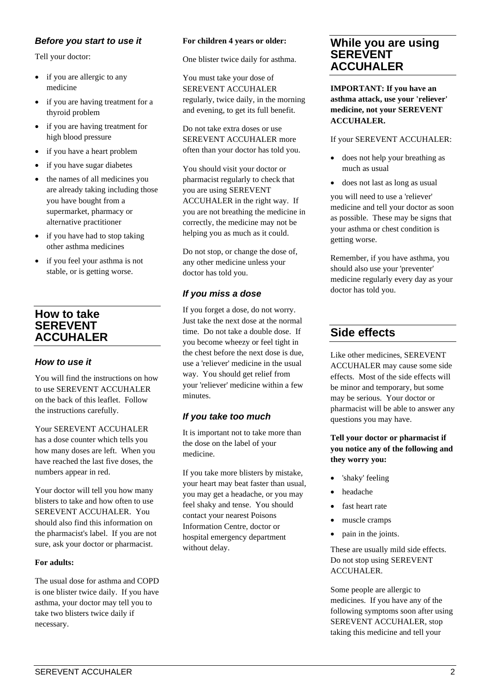## *Before you start to use it*

Tell your doctor:

- if you are allergic to any medicine
- if you are having treatment for a thyroid problem
- if you are having treatment for high blood pressure
- if you have a heart problem
- if you have sugar diabetes
- the names of all medicines you are already taking including those you have bought from a supermarket, pharmacy or alternative practitioner
- if you have had to stop taking other asthma medicines
- if you feel your asthma is not stable, or is getting worse.

# **How to take SEREVENT ACCUHALER**

## *How to use it*

You will find the instructions on how to use SEREVENT ACCUHALER on the back of this leaflet. Follow the instructions carefully.

Your SEREVENT ACCUHALER has a dose counter which tells you how many doses are left. When you have reached the last five doses, the numbers appear in red.

Your doctor will tell you how many blisters to take and how often to use SEREVENT ACCUHALER. You should also find this information on the pharmacist's label. If you are not sure, ask your doctor or pharmacist.

#### **For adults:**

The usual dose for asthma and COPD is one blister twice daily. If you have asthma, your doctor may tell you to take two blisters twice daily if necessary.

#### **For children 4 years or older:**

One blister twice daily for asthma.

You must take your dose of SEREVENT ACCUHALER regularly, twice daily, in the morning and evening, to get its full benefit.

Do not take extra doses or use SEREVENT ACCUHALER more often than your doctor has told you.

You should visit your doctor or pharmacist regularly to check that you are using SEREVENT ACCUHALER in the right way. If you are not breathing the medicine in correctly, the medicine may not be helping you as much as it could.

Do not stop, or change the dose of, any other medicine unless your doctor has told you.

## *If you miss a dose*

If you forget a dose, do not worry. Just take the next dose at the normal time. Do not take a double dose. If you become wheezy or feel tight in the chest before the next dose is due, use a 'reliever' medicine in the usual way. You should get relief from your 'reliever' medicine within a few minutes.

## *If you take too much*

It is important not to take more than the dose on the label of your medicine.

If you take more blisters by mistake, your heart may beat faster than usual, you may get a headache, or you may feel shaky and tense. You should contact your nearest Poisons Information Centre, doctor or hospital emergency department without delay.

# **While you are using SEREVENT ACCUHALER**

**IMPORTANT: If you have an asthma attack, use your 'reliever' medicine, not your SEREVENT ACCUHALER.**

#### If your SEREVENT ACCUHALER:

- does not help your breathing as much as usual
- does not last as long as usual

you will need to use a 'reliever' medicine and tell your doctor as soon as possible. These may be signs that your asthma or chest condition is getting worse.

Remember, if you have asthma, you should also use your 'preventer' medicine regularly every day as your doctor has told you.

# **Side effects**

Like other medicines, SEREVENT ACCUHALER may cause some side effects. Most of the side effects will be minor and temporary, but some may be serious. Your doctor or pharmacist will be able to answer any questions you may have.

## **Tell your doctor or pharmacist if you notice any of the following and they worry you:**

- 'shaky' feeling
- headache
- fast heart rate
- muscle cramps
- pain in the joints.

These are usually mild side effects. Do not stop using SEREVENT ACCUHALER.

Some people are allergic to medicines. If you have any of the following symptoms soon after using SEREVENT ACCUHALER, stop taking this medicine and tell your